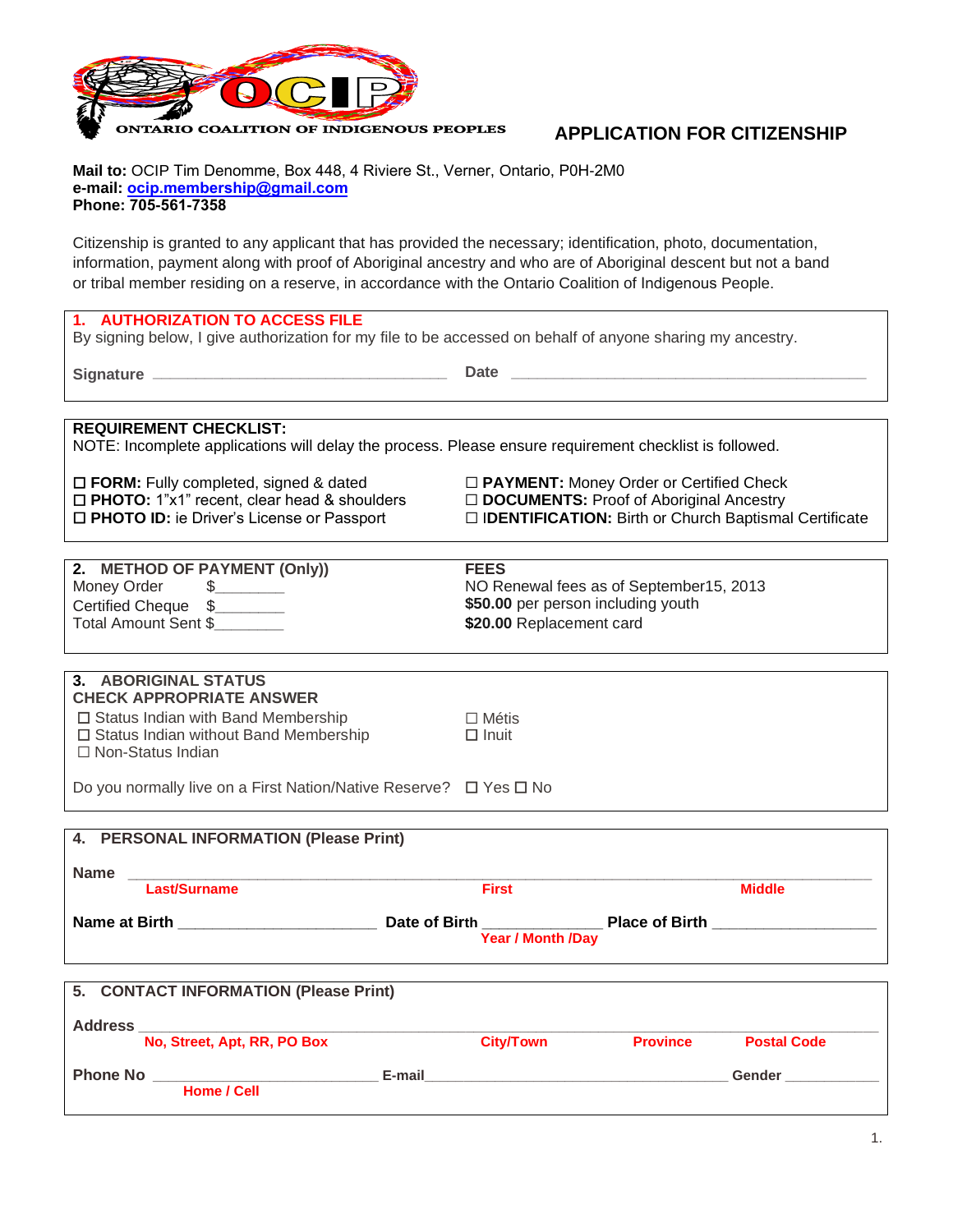

**APPLICATION FOR CITIZENSHIP** 

**Mail to:** OCIP Tim Denomme, Box 448, 4 Riviere St., Verner, Ontario, P0H-2M0 **e-mail: ocip.[membership@](mailto:ocipmembership@hotmail.com)gmail.com Phone: 705-561-7358**

Citizenship is granted to any applicant that has provided the necessary; identification, photo, documentation, information, payment along with proof of Aboriginal ancestry and who are of Aboriginal descent but not a band or tribal member residing on a reserve, in accordance with the Ontario Coalition of Indigenous People.

### **1. AUTHORIZATION TO ACCESS FILE**

By signing below, I give authorization for my file to be accessed on behalf of anyone sharing my ancestry.

**Signature \_\_\_\_\_\_\_\_\_\_\_\_\_\_\_\_\_\_\_\_\_\_\_\_\_\_\_\_\_\_\_\_\_\_ Date \_\_\_\_\_\_\_\_\_\_\_\_\_\_\_\_\_\_\_\_\_\_\_\_\_\_\_\_\_\_\_\_\_\_\_\_\_\_\_\_\_**

## **REQUIREMENT CHECKLIST:**

NOTE: Incomplete applications will delay the process. Please ensure requirement checklist is followed.

☐ **FORM:** Fully completed, signed & dated ☐ **PAYMENT:** Money Order or Certified Check ☐ **PHOTO:** 1"x1" recent, clear head & shoulders ☐ **DOCUMENTS:** Proof of Aboriginal Ancestry

☐ **PHOTO ID:** ie Driver's License or Passport ☐ I**DENTIFICATION:** Birth or Church Baptismal Certificate

| 2. METHOD OF PAYMENT (Only)) | <b>FEES</b>                             |
|------------------------------|-----------------------------------------|
| Money Order                  | NO Renewal fees as of September15, 2013 |
| Certified Cheque \$          | \$50.00 per person including youth      |
| Total Amount Sent \$         | \$20.00 Replacement card                |
|                              |                                         |

# **3. ABORIGINAL STATUS CHECK APPROPRIATE ANSWER** ☐ Status Indian with Band Membership ☐ Métis ☐ Status Indian without Band Membership ☐ Inuit ☐ Non-Status Indian

Do you normally live on a First Nation/Native Reserve? ☐ Yes ☐ No

|                | 4. PERSONAL INFORMATION (Please Print) |                                                         |                 |                                                                                                                       |
|----------------|----------------------------------------|---------------------------------------------------------|-----------------|-----------------------------------------------------------------------------------------------------------------------|
| <b>Name</b>    | Last/Surname                           | <b>First</b>                                            |                 | <b>Middle</b>                                                                                                         |
|                | Name at Birth <b>Exercise 2008</b>     | Date of Birth _____________<br><b>Year / Month /Day</b> |                 | <b>Place of Birth Electronic Structure 10.000 Structure 10.000 Structure 10.000 Structure 10.000 Structure 10.000</b> |
|                | 5. CONTACT INFORMATION (Please Print)  |                                                         |                 |                                                                                                                       |
| <b>Address</b> | No, Street, Apt, RR, PO Box            | <b>City/Town</b>                                        | <b>Province</b> | <b>Postal Code</b>                                                                                                    |

| <b>Phone No</b> |             | E-mail | Gender |
|-----------------|-------------|--------|--------|
|                 | Home / Cell |        |        |
|                 |             |        |        |